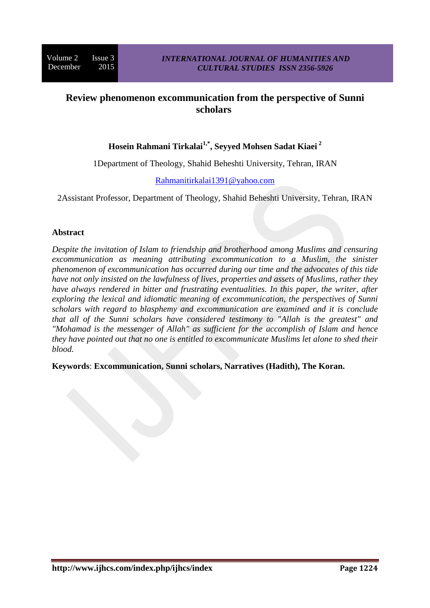# **Review phenomenon excommunication from the perspective of Sunni scholars**

# **Hosein Rahmani Tirkalai1,\* , Seyyed Mohsen Sadat Kiaei <sup>2</sup>**

1Department of Theology, Shahid Beheshti University, Tehran, IRAN

### [Rahmanitirkalai1391@yahoo.com](mailto:Rahmanitirkalai1391@yahoo.com)

2Assistant Professor, Department of Theology, Shahid Beheshti University, Tehran, IRAN

### **Abstract**

*Despite the invitation of Islam to friendship and brotherhood among Muslims and censuring excommunication as meaning attributing excommunication to a Muslim, the sinister phenomenon of excommunication has occurred during our time and the advocates of this tide have not only insisted on the lawfulness of lives, properties and assets of Muslims, rather they have always rendered in bitter and frustrating eventualities. In this paper, the writer, after exploring the lexical and idiomatic meaning of excommunication, the perspectives of Sunni scholars with regard to blasphemy and excommunication are examined and it is conclude that all of the Sunni scholars have considered testimony to "Allah is the greatest" and "Mohamad is the messenger of Allah" as sufficient for the accomplish of Islam and hence they have pointed out that no one is entitled to excommunicate Muslims let alone to shed their blood.*

**Keywords**: **Excommunication, Sunni scholars, Narratives (Hadith), The Koran.**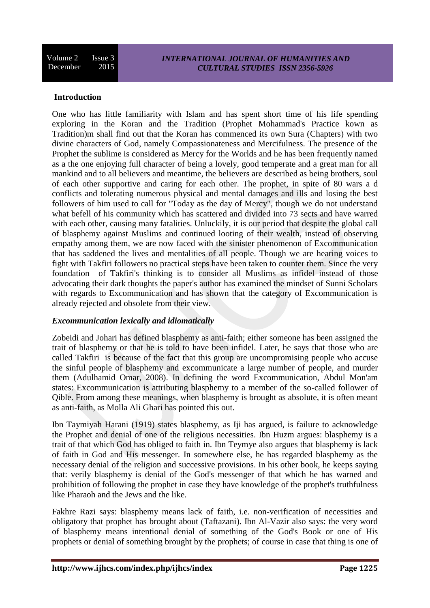#### **Introduction**

One who has little familiarity with Islam and has spent short time of his life spending exploring in the Koran and the Tradition (Prophet Mohammad's Practice kown as Tradition)m shall find out that the Koran has commenced its own Sura (Chapters) with two divine characters of God, namely Compassionateness and Mercifulness. The presence of the Prophet the sublime is considered as Mercy for the Worlds and he has been frequently named as a the one enjoying full character of being a lovely, good temperate and a great man for all mankind and to all believers and meantime, the believers are described as being brothers, soul of each other supportive and caring for each other. The prophet, in spite of 80 wars a d conflicts and tolerating numerous physical and mental damages and ills and losing the best followers of him used to call for "Today as the day of Mercy", though we do not understand what befell of his community which has scattered and divided into 73 sects and have warred with each other, causing many fatalities. Unluckily, it is our period that despite the global call of blasphemy against Muslims and continued looting of their wealth, instead of observing empathy among them, we are now faced with the sinister phenomenon of Excommunication that has saddened the lives and mentalities of all people. Though we are hearing voices to fight with Takfiri followers no practical steps have been taken to counter them. Since the very foundation of Takfiri's thinking is to consider all Muslims as infidel instead of those advocating their dark thoughts the paper's author has examined the mindset of Sunni Scholars with regards to Excommunication and has shown that the category of Excommunication is already rejected and obsolete from their view.

#### *Excommunication lexically and idiomatically*

Zobeidi and Johari has defined blasphemy as anti-faith; either someone has been assigned the trait of blasphemy or that he is told to have been infidel. Later, he says that those who are called Takfiri is because of the fact that this group are uncompromising people who accuse the sinful people of blasphemy and excommunicate a large number of people, and murder them (Adulhamid Omar, 2008). In defining the word Excommunication, Abdul Mon'am states: Excommunication is attributing blasphemy to a member of the so-called follower of Qible. From among these meanings, when blasphemy is brought as absolute, it is often meant as anti-faith, as Molla Ali Ghari has pointed this out.

Ibn Taymiyah Harani (1919) states blasphemy, as Iji has argued, is failure to acknowledge the Prophet and denial of one of the religious necessities. Ibn Huzm argues: blasphemy is a trait of that which God has obliged to faith in. Ibn Teymye also argues that blasphemy is lack of faith in God and His messenger. In somewhere else, he has regarded blasphemy as the necessary denial of the religion and successive provisions. In his other book, he keeps saying that: verily blasphemy is denial of the God's messenger of that which he has warned and prohibition of following the prophet in case they have knowledge of the prophet's truthfulness like Pharaoh and the Jews and the like.

Fakhre Razi says: blasphemy means lack of faith, i.e. non-verification of necessities and obligatory that prophet has brought about (Taftazani). Ibn Al-Vazir also says: the very word of blasphemy means intentional denial of something of the God's Book or one of His prophets or denial of something brought by the prophets; of course in case that thing is one of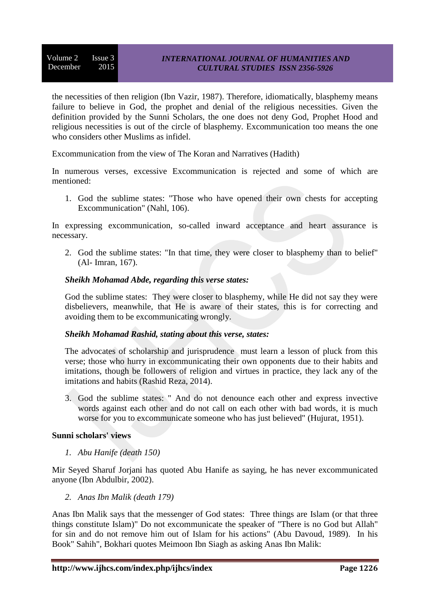Volume  $2 \overline{1}$  Issue 3 December 2015

the necessities of then religion (Ibn Vazir, 1987). Therefore, idiomatically, blasphemy means failure to believe in God, the prophet and denial of the religious necessities. Given the definition provided by the Sunni Scholars, the one does not deny God, Prophet Hood and religious necessities is out of the circle of blasphemy. Excommunication too means the one who considers other Muslims as infidel.

Excommunication from the view of The Koran and Narratives (Hadith)

In numerous verses, excessive Excommunication is rejected and some of which are mentioned:

1. God the sublime states: "Those who have opened their own chests for accepting Excommunication" (Nahl, 106).

In expressing excommunication, so-called inward acceptance and heart assurance is necessary.

2. God the sublime states: "In that time, they were closer to blasphemy than to belief" (Al- Imran, 167).

### *Sheikh Mohamad Abde, regarding this verse states:*

God the sublime states: They were closer to blasphemy, while He did not say they were disbelievers, meanwhile, that He is aware of their states, this is for correcting and avoiding them to be excommunicating wrongly.

#### *Sheikh Mohamad Rashid, stating about this verse, states:*

The advocates of scholarship and jurisprudence must learn a lesson of pluck from this verse; those who hurry in excommunicating their own opponents due to their habits and imitations, though be followers of religion and virtues in practice, they lack any of the imitations and habits (Rashid Reza, 2014).

3. God the sublime states: " And do not denounce each other and express invective words against each other and do not call on each other with bad words, it is much worse for you to excommunicate someone who has just believed" (Hujurat, 1951).

#### **Sunni scholars' views**

*1. Abu Hanife (death 150)*

Mir Seyed Sharuf Jorjani has quoted Abu Hanife as saying, he has never excommunicated anyone (Ibn Abdulbir, 2002).

*2. Anas Ibn Malik (death 179)*

Anas Ibn Malik says that the messenger of God states: Three things are Islam (or that three things constitute Islam)" Do not excommunicate the speaker of "There is no God but Allah" for sin and do not remove him out of Islam for his actions" (Abu Davoud, 1989). In his Book" Sahih", Bokhari quotes Meimoon Ibn Siagh as asking Anas Ibn Malik: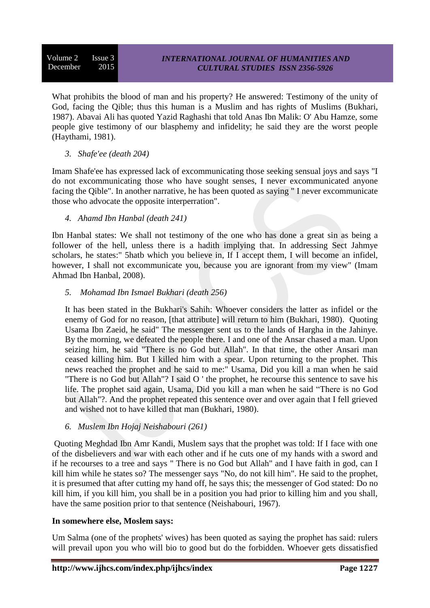What prohibits the blood of man and his property? He answered: Testimony of the unity of God, facing the Qible; thus this human is a Muslim and has rights of Muslims (Bukhari, 1987). Abavai Ali has quoted Yazid Raghashi that told Anas Ibn Malik: O' Abu Hamze, some people give testimony of our blasphemy and infidelity; he said they are the worst people (Haythami, 1981).

### *3. Shafe'ee (death 204)*

Imam Shafe'ee has expressed lack of excommunicating those seeking sensual joys and says "I do not excommunicating those who have sought senses, I never excommunicated anyone facing the Qible". In another narrative, he has been quoted as saying " I never excommunicate those who advocate the opposite interperration".

*4. Ahamd Ibn Hanbal (death 241)*

Ibn Hanbal states: We shall not testimony of the one who has done a great sin as being a follower of the hell, unless there is a hadith implying that. In addressing Sect Jahmye scholars, he states:" 5hatb which you believe in, If I accept them, I will become an infidel, however, I shall not excommunicate you, because you are ignorant from my view" (Imam Ahmad Ibn Hanbal, 2008).

*5. Mohamad Ibn Ismael Bukhari (death 256)*

It has been stated in the Bukhari's Sahih: Whoever considers the latter as infidel or the enemy of God for no reason, [that attribute] will return to him (Bukhari, 1980). Quoting Usama Ibn Zaeid, he said" The messenger sent us to the lands of Hargha in the Jahinye. By the morning, we defeated the people there. I and one of the Ansar chased a man. Upon seizing him, he said "There is no God but Allah". In that time, the other Ansari man ceased killing him. But I killed him with a spear. Upon returning to the prophet. This news reached the prophet and he said to me:" Usama, Did you kill a man when he said "There is no God but Allah"? I said O ' the prophet, he recourse this sentence to save his life. The prophet said again, Usama, Did you kill a man when he said "There is no God but Allah"?. And the prophet repeated this sentence over and over again that I fell grieved and wished not to have killed that man (Bukhari, 1980).

*6. Muslem Ibn Hojaj Neishabouri (261)*

Quoting Meghdad Ibn Amr Kandi, Muslem says that the prophet was told: If I face with one of the disbelievers and war with each other and if he cuts one of my hands with a sword and if he recourses to a tree and says " There is no God but Allah" and I have faith in god, can I kill him while he states so? The messenger says "No, do not kill him". He said to the prophet, it is presumed that after cutting my hand off, he says this; the messenger of God stated: Do no kill him, if you kill him, you shall be in a position you had prior to killing him and you shall, have the same position prior to that sentence (Neishabouri, 1967).

# **In somewhere else, Moslem says:**

Um Salma (one of the prophets' wives) has been quoted as saying the prophet has said: rulers will prevail upon you who will bio to good but do the forbidden. Whoever gets dissatisfied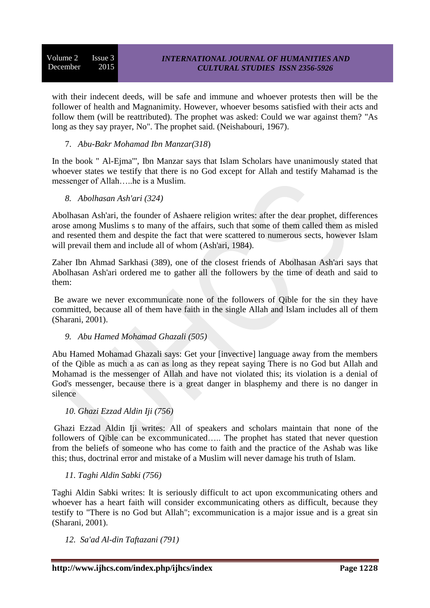with their indecent deeds, will be safe and immune and whoever protests then will be the follower of health and Magnanimity. However, whoever besoms satisfied with their acts and follow them (will be reattributed). The prophet was asked: Could we war against them? "As long as they say prayer, No". The prophet said. (Neishabouri, 1967).

### 7. *Abu-Bakr Mohamad Ibn Manzar(318*)

In the book " Al-Ejma'", Ibn Manzar says that Islam Scholars have unanimously stated that whoever states we testify that there is no God except for Allah and testify Mahamad is the messenger of Allah…..he is a Muslim.

*8. Abolhasan Ash'ari (324)*

Abolhasan Ash'ari, the founder of Ashaere religion writes: after the dear prophet, differences arose among Muslims s to many of the affairs, such that some of them called them as misled and resented them and despite the fact that were scattered to numerous sects, however Islam will prevail them and include all of whom (Ash'ari, 1984).

Zaher Ibn Ahmad Sarkhasi (389), one of the closest friends of Abolhasan Ash'ari says that Abolhasan Ash'ari ordered me to gather all the followers by the time of death and said to them:

Be aware we never excommunicate none of the followers of Qible for the sin they have committed, because all of them have faith in the single Allah and Islam includes all of them (Sharani, 2001).

*9. Abu Hamed Mohamad Ghazali (505)*

Abu Hamed Mohamad Ghazali says: Get your [invective] language away from the members of the Qible as much a as can as long as they repeat saying There is no God but Allah and Mohamad is the messenger of Allah and have not violated this; its violation is a denial of God's messenger, because there is a great danger in blasphemy and there is no danger in silence

# *10. Ghazi Ezzad Aldin Iji (756)*

Ghazi Ezzad Aldin Iji writes: All of speakers and scholars maintain that none of the followers of Qible can be excommunicated….. The prophet has stated that never question from the beliefs of someone who has come to faith and the practice of the Ashab was like this; thus, doctrinal error and mistake of a Muslim will never damage his truth of Islam.

# *11. Taghi Aldin Sabki (756)*

Taghi Aldin Sabki writes: It is seriously difficult to act upon excommunicating others and whoever has a heart faith will consider excommunicating others as difficult, because they testify to "There is no God but Allah"; excommunication is a major issue and is a great sin (Sharani, 2001).

*12. Sa'ad Al-din Taftazani (791)*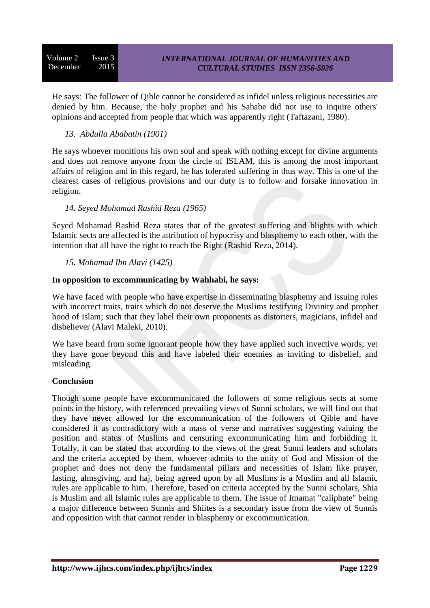He says: The follower of Qible cannot be considered as infidel unless religious necessities are denied by him. Because, the holy prophet and his Sahabe did not use to inquire others' opinions and accepted from people that which was apparently right (Taftazani, 1980).

# *13. Abdulla Ababatin (1901)*

He says whoever monitions his own soul and speak with nothing except for divine arguments and does not remove anyone from the circle of ISLAM, this is among the most important affairs of religion and in this regard, he has tolerated suffering in thus way. This is one of the clearest cases of religious provisions and our duty is to follow and forsake innovation in religion.

# *14. Seyed Mohamad Rashid Reza (1965)*

Seyed Mohamad Rashid Reza states that of the greatest suffering and blights with which Islamic sects are affected is the attribution of hypocrisy and blasphemy to each other, with the intention that all have the right to reach the Right (Rashid Reza, 2014).

# *15. Mohamad Ibn Alavi (1425)*

# **In opposition to excommunicating by Wahhabi, he says:**

We have faced with people who have expertise in disseminating blasphemy and issuing rules with incorrect traits, traits which do not deserve the Muslims testifying Divinity and prophet hood of Islam; such that they label their own proponents as distorters, magicians, infidel and disbeliever (Alavi Maleki, 2010).

We have heard from some ignorant people how they have applied such invective words; yet they have gone beyond this and have labeled their enemies as inviting to disbelief, and misleading.

# **Conclusion**

Though some people have excommunicated the followers of some religious sects at some points in the history, with referenced prevailing views of Sunni scholars, we will find out that they have never allowed for the excommunication of the followers of Qible and have considered it as contradictory with a mass of verse and narratives suggesting valuing the position and status of Muslims and censuring excommunicating him and forbidding it. Totally, it can be stated that according to the views of the great Sunni leaders and scholars and the criteria accepted by them, whoever admits to the unity of God and Mission of the prophet and does not deny the fundamental pillars and necessities of Islam like prayer, fasting, almsgiving, and haj, being agreed upon by all Muslims is a Muslim and all Islamic rules are applicable to him. Therefore, based on criteria accepted by the Sunni scholars, Shia is Muslim and all Islamic rules are applicable to them. The issue of Imamat "caliphate" being a major difference between Sunnis and Shiites is a secondary issue from the view of Sunnis and opposition with that cannot render in blasphemy or excommunication.